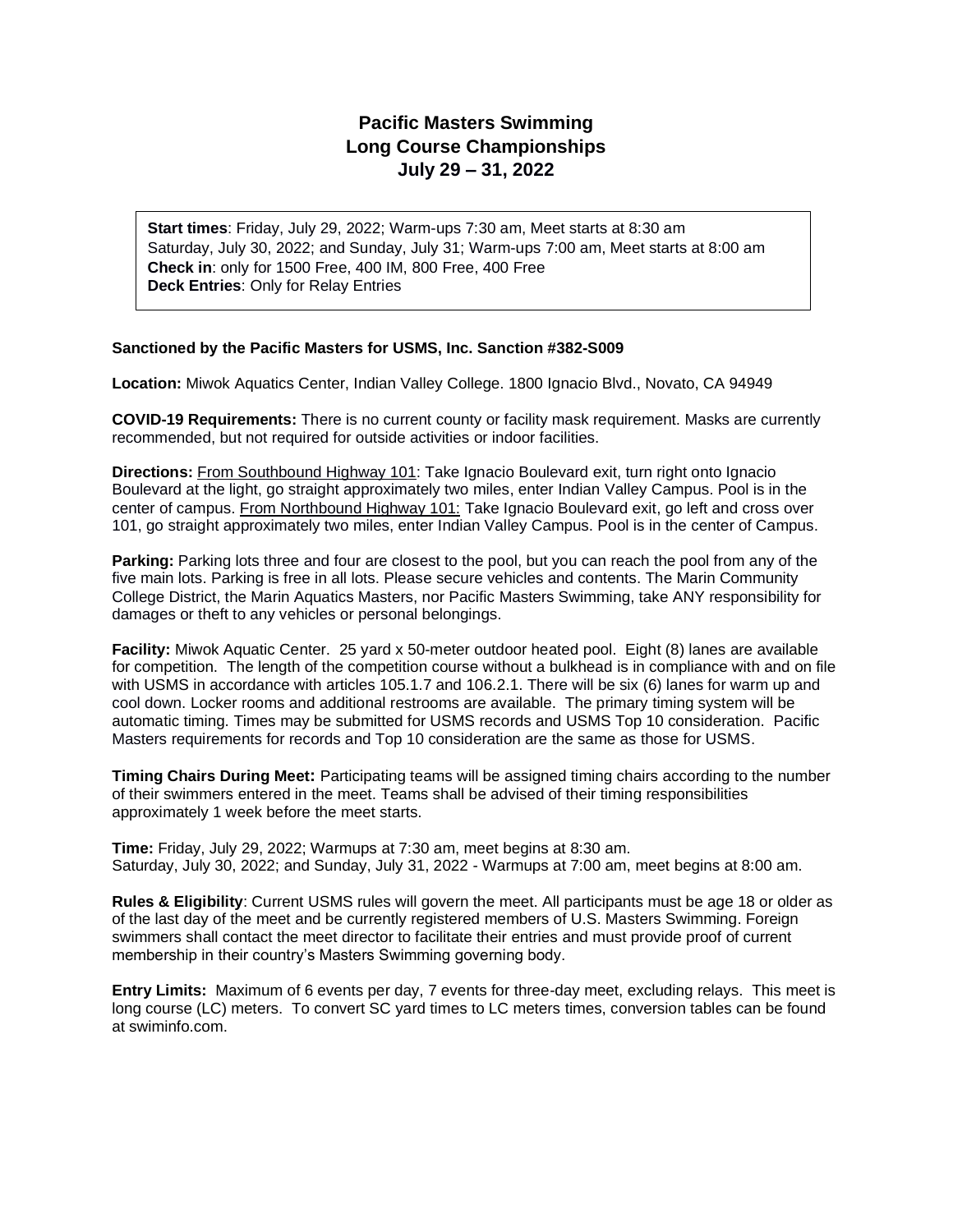# **Pacific Masters Swimming Long Course Championships July 29 – 31, 2022**

**Start times**: Friday, July 29, 2022; Warm-ups 7:30 am, Meet starts at 8:30 am Saturday, July 30, 2022; and Sunday, July 31; Warm-ups 7:00 am, Meet starts at 8:00 am **Check in**: only for 1500 Free, 400 IM, 800 Free, 400 Free **Deck Entries**: Only for Relay Entries

### **Sanctioned by the Pacific Masters for USMS, Inc. Sanction #382-S009**

**Location:** Miwok Aquatics Center, Indian Valley College. 1800 Ignacio Blvd., Novato, CA 94949

**COVID-19 Requirements:** There is no current county or facility mask requirement. Masks are currently recommended, but not required for outside activities or indoor facilities.

**Directions:** From Southbound Highway 101: Take Ignacio Boulevard exit, turn right onto Ignacio Boulevard at the light, go straight approximately two miles, enter Indian Valley Campus. Pool is in the center of campus. From Northbound Highway 101: Take Ignacio Boulevard exit, go left and cross over 101, go straight approximately two miles, enter Indian Valley Campus. Pool is in the center of Campus.

**Parking:** Parking lots three and four are closest to the pool, but you can reach the pool from any of the five main lots. Parking is free in all lots. Please secure vehicles and contents. The Marin Community College District, the Marin Aquatics Masters, nor Pacific Masters Swimming, take ANY responsibility for damages or theft to any vehicles or personal belongings.

**Facility:** Miwok Aquatic Center. 25 yard x 50-meter outdoor heated pool. Eight (8) lanes are available for competition. The length of the competition course without a bulkhead is in compliance with and on file with USMS in accordance with articles 105.1.7 and 106.2.1. There will be six (6) lanes for warm up and cool down. Locker rooms and additional restrooms are available. The primary timing system will be automatic timing. Times may be submitted for USMS records and USMS Top 10 consideration. Pacific Masters requirements for records and Top 10 consideration are the same as those for USMS.

**Timing Chairs During Meet:** Participating teams will be assigned timing chairs according to the number of their swimmers entered in the meet. Teams shall be advised of their timing responsibilities approximately 1 week before the meet starts.

**Time:** Friday, July 29, 2022; Warmups at 7:30 am, meet begins at 8:30 am. Saturday, July 30, 2022; and Sunday, July 31, 2022 - Warmups at 7:00 am, meet begins at 8:00 am.

**Rules & Eligibility**: Current USMS rules will govern the meet. All participants must be age 18 or older as of the last day of the meet and be currently registered members of U.S. Masters Swimming. Foreign swimmers shall contact the meet director to facilitate their entries and must provide proof of current membership in their country's Masters Swimming governing body.

**Entry Limits:** Maximum of 6 events per day, 7 events for three-day meet, excluding relays. This meet is long course (LC) meters. To convert SC yard times to LC meters times, conversion tables can be found at swiminfo.com.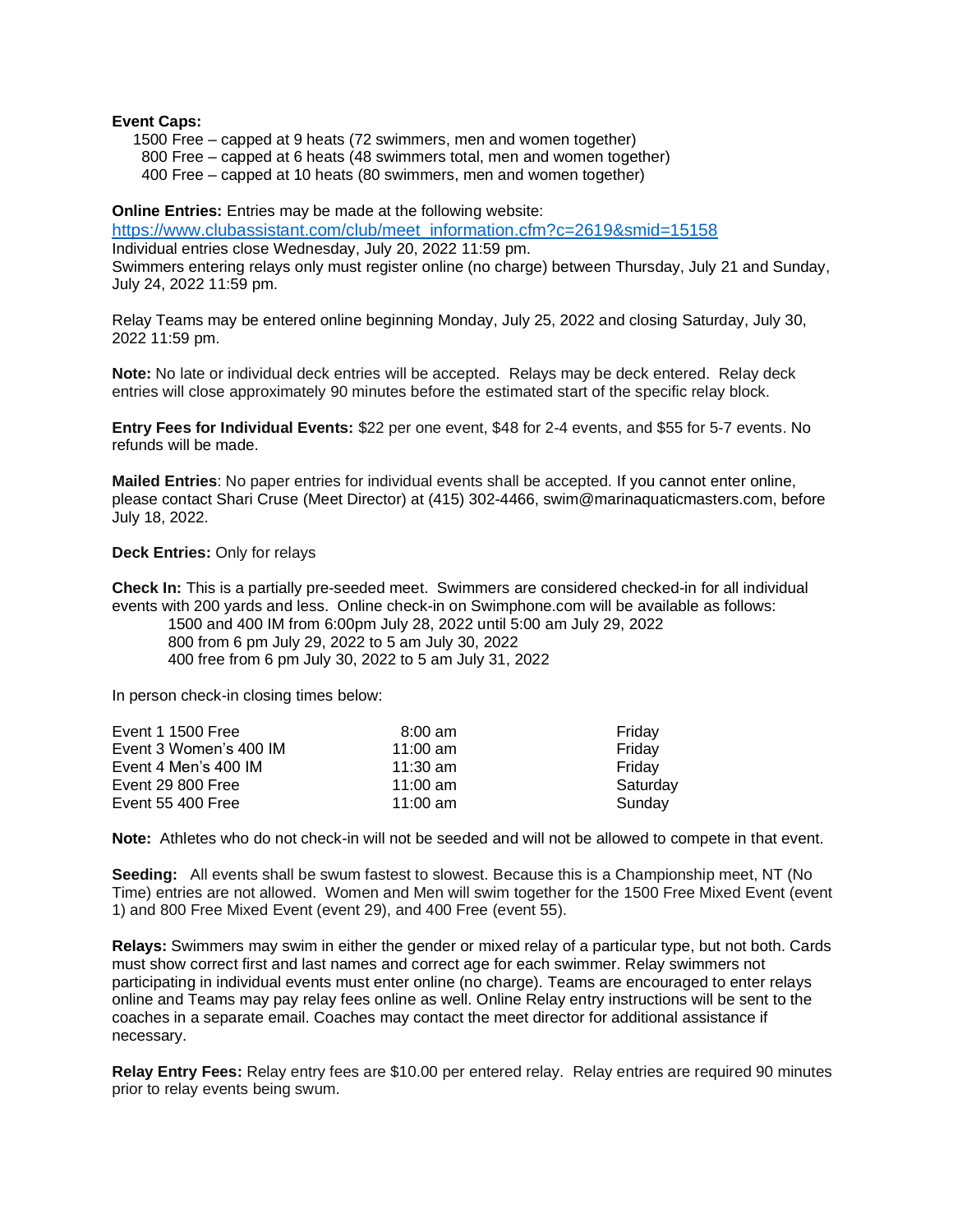#### **Event Caps:**

1500 Free – capped at 9 heats (72 swimmers, men and women together)

800 Free – capped at 6 heats (48 swimmers total, men and women together)

400 Free – capped at 10 heats (80 swimmers, men and women together)

**Online Entries:** Entries may be made at the following website:

[https://www.clubassistant.com/club/meet\\_information.cfm?c=2619&smid=15158](https://www.clubassistant.com/club/meet_information.cfm?c=2619&smid=15158) Individual entries close Wednesday, July 20, 2022 11:59 pm.

Swimmers entering relays only must register online (no charge) between Thursday, July 21 and Sunday, July 24, 2022 11:59 pm.

Relay Teams may be entered online beginning Monday, July 25, 2022 and closing Saturday, July 30, 2022 11:59 pm.

**Note:** No late or individual deck entries will be accepted. Relays may be deck entered. Relay deck entries will close approximately 90 minutes before the estimated start of the specific relay block.

**Entry Fees for Individual Events:** \$22 per one event, \$48 for 2-4 events, and \$55 for 5-7 events. No refunds will be made.

**Mailed Entries**: No paper entries for individual events shall be accepted. If you cannot enter online, please contact Shari Cruse (Meet Director) at (415) 302-4466, swim@marinaquaticmasters.com, before July 18, 2022.

#### **Deck Entries:** Only for relays

**Check In:** This is a partially pre-seeded meet. Swimmers are considered checked-in for all individual events with 200 yards and less. Online check-in on Swimphone.com will be available as follows:

1500 and 400 IM from 6:00pm July 28, 2022 until 5:00 am July 29, 2022 800 from 6 pm July 29, 2022 to 5 am July 30, 2022 400 free from 6 pm July 30, 2022 to 5 am July 31, 2022

In person check-in closing times below:

| Event 1 1500 Free      | $8:00 \text{ am}$ | Friday   |
|------------------------|-------------------|----------|
| Event 3 Women's 400 IM | 11:00 $am$        | Friday   |
| Event 4 Men's 400 IM   | $11:30$ am        | Friday   |
| Event 29 800 Free      | 11:00 am          | Saturday |
| Event 55 400 Free      | $11:00$ am        | Sundav   |

**Note:** Athletes who do not check-in will not be seeded and will not be allowed to compete in that event.

**Seeding:** All events shall be swum fastest to slowest. Because this is a Championship meet, NT (No Time) entries are not allowed. Women and Men will swim together for the 1500 Free Mixed Event (event 1) and 800 Free Mixed Event (event 29), and 400 Free (event 55).

**Relays:** Swimmers may swim in either the gender or mixed relay of a particular type, but not both. Cards must show correct first and last names and correct age for each swimmer. Relay swimmers not participating in individual events must enter online (no charge). Teams are encouraged to enter relays online and Teams may pay relay fees online as well. Online Relay entry instructions will be sent to the coaches in a separate email. Coaches may contact the meet director for additional assistance if necessary.

**Relay Entry Fees:** Relay entry fees are \$10.00 per entered relay. Relay entries are required 90 minutes prior to relay events being swum.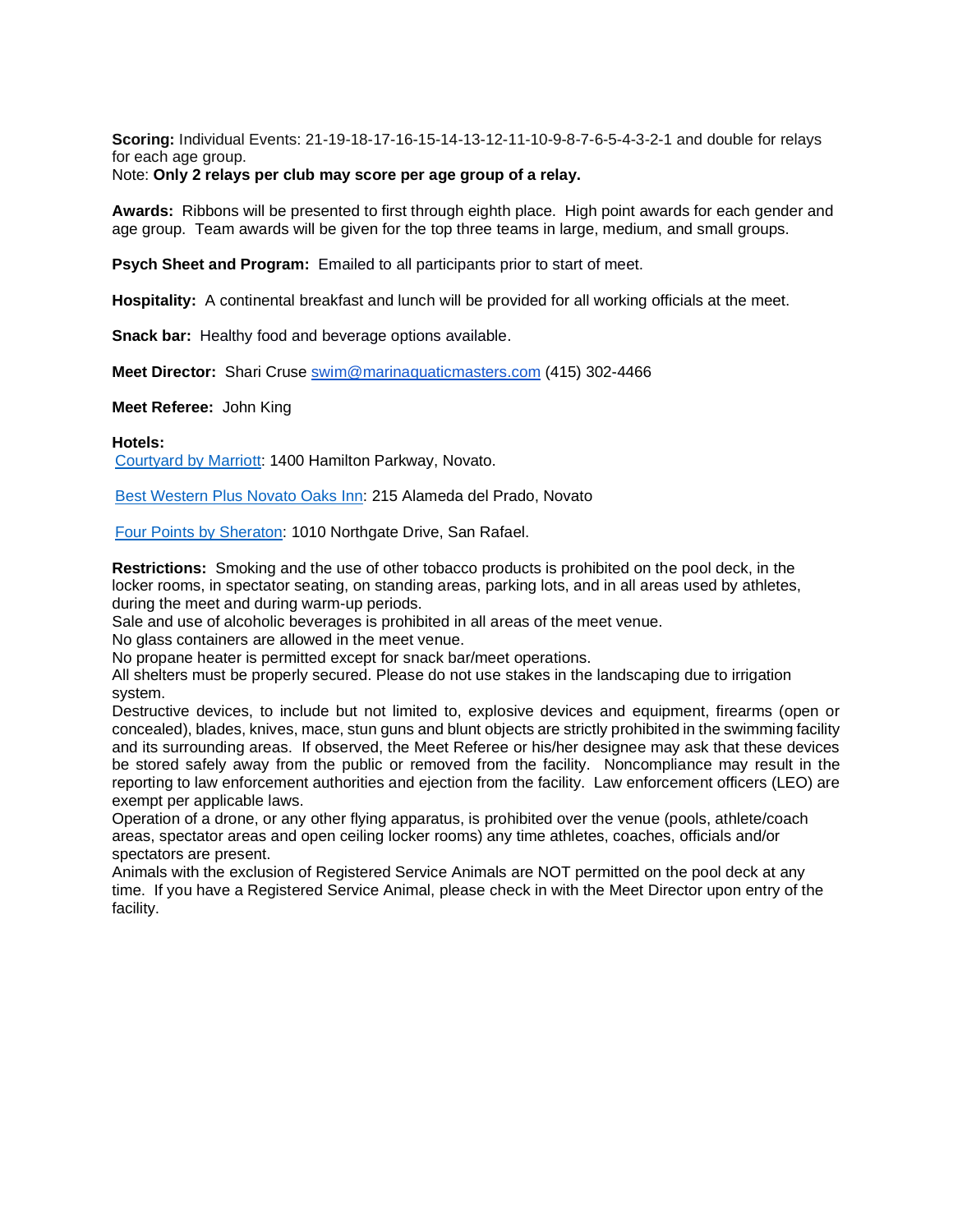**Scoring:** Individual Events: 21-19-18-17-16-15-14-13-12-11-10-9-8-7-6-5-4-3-2-1 and double for relays for each age group.

### Note: **Only 2 relays per club may score per age group of a relay.**

**Awards:** Ribbons will be presented to first through eighth place. High point awards for each gender and age group. Team awards will be given for the top three teams in large, medium, and small groups.

**Psych Sheet and Program:** Emailed to all participants prior to start of meet.

**Hospitality:** A continental breakfast and lunch will be provided for all working officials at the meet.

**Snack bar:** Healthy food and beverage options available.

**Meet Director:** Shari Cruse [swim@marinaquaticmasters.com](mailto:swim@marinaquaticmasters.com) (415) 302-4466

**Meet Referee:** John King

#### **Hotels:**

[Courtyard by Marriott:](https://www.marriott.com/search/findHotels.mi?scid=6120d3cf-0507-4999-b888-0739f4388b91&gclid=CjwKCAjwy_aUBhACEiwA2IHHQHkl2A25uk-5U-enQo47ZkSztP11x1ZAxfQt5v8plbSTpHzlkP53dRoCZ70QAvD_BwE&gclsrc=aw.ds) 1400 Hamilton Parkway, Novato.

[Best Western Plus Novato Oaks Inn:](https://www.bestwestern.com/en_US/book/hotels-in-novato/best-western-plus-novato-oaks-inn/propertyCode.05548.html) 215 Alameda del Prado, Novato

[Four Points by Sheraton:](https://www.marriott.com/hotels/travel/sfofr-four-points-san-rafael-marin-county/) 1010 Northgate Drive, San Rafael.

**Restrictions:** Smoking and the use of other tobacco products is prohibited on the pool deck, in the locker rooms, in spectator seating, on standing areas, parking lots, and in all areas used by athletes, during the meet and during warm-up periods.

Sale and use of alcoholic beverages is prohibited in all areas of the meet venue.

No glass containers are allowed in the meet venue.

No propane heater is permitted except for snack bar/meet operations.

All shelters must be properly secured. Please do not use stakes in the landscaping due to irrigation system.

Destructive devices, to include but not limited to, explosive devices and equipment, firearms (open or concealed), blades, knives, mace, stun guns and blunt objects are strictly prohibited in the swimming facility and its surrounding areas. If observed, the Meet Referee or his/her designee may ask that these devices be stored safely away from the public or removed from the facility. Noncompliance may result in the reporting to law enforcement authorities and ejection from the facility. Law enforcement officers (LEO) are exempt per applicable laws.

Operation of a drone, or any other flying apparatus, is prohibited over the venue (pools, athlete/coach areas, spectator areas and open ceiling locker rooms) any time athletes, coaches, officials and/or spectators are present.

Animals with the exclusion of Registered Service Animals are NOT permitted on the pool deck at any time. If you have a Registered Service Animal, please check in with the Meet Director upon entry of the facility.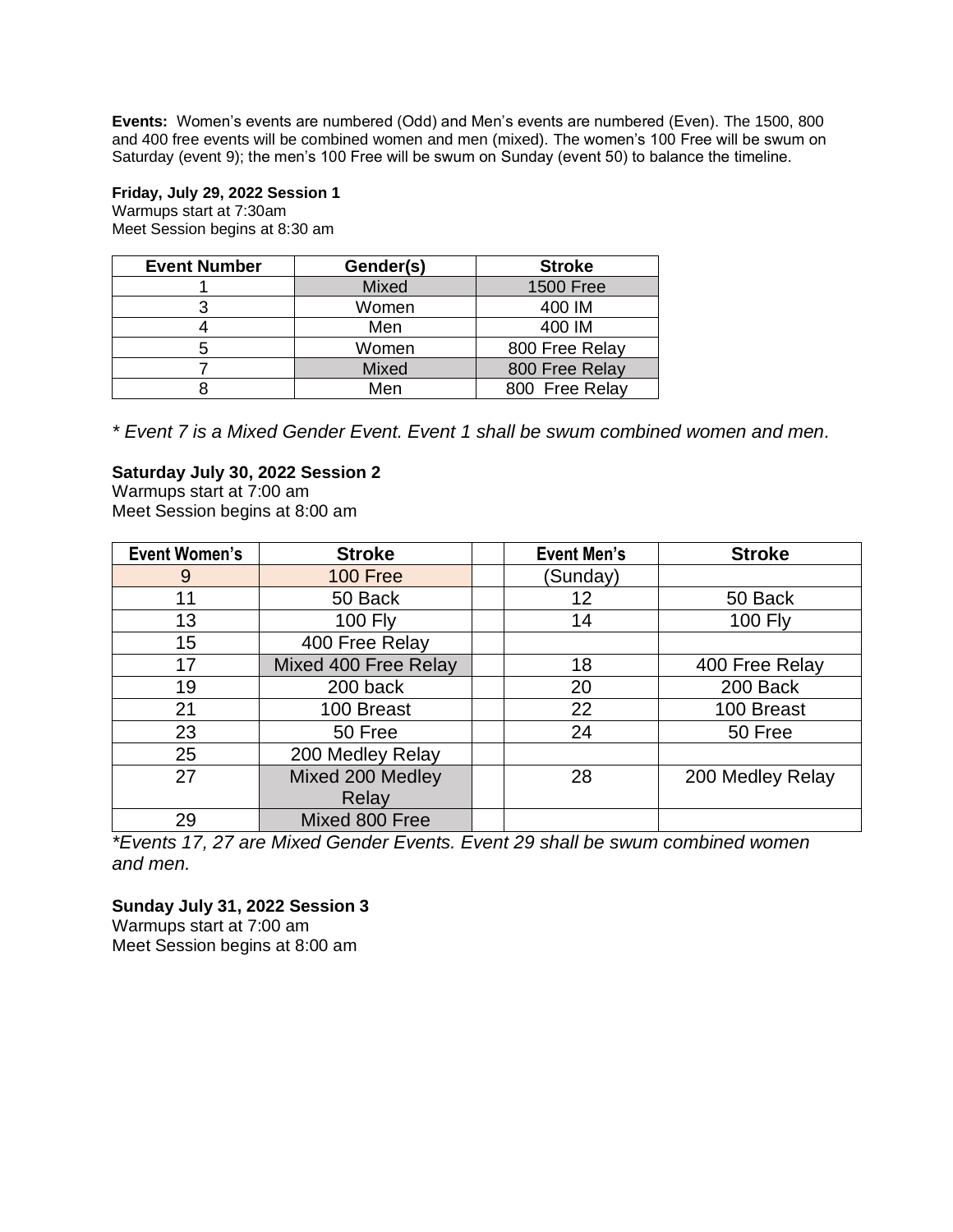**Events:** Women's events are numbered (Odd) and Men's events are numbered (Even). The 1500, 800 and 400 free events will be combined women and men (mixed). The women's 100 Free will be swum on Saturday (event 9); the men's 100 Free will be swum on Sunday (event 50) to balance the timeline.

## **Friday, July 29, 2022 Session 1**

Warmups start at 7:30am Meet Session begins at 8:30 am

| <b>Event Number</b> | Gender(s) | <b>Stroke</b>    |
|---------------------|-----------|------------------|
|                     | Mixed     | <b>1500 Free</b> |
|                     | Women     | 400 IM           |
|                     | Men       | 400 IM           |
| 5                   | Women     | 800 Free Relay   |
|                     | Mixed     | 800 Free Relay   |
|                     | Men       | 800 Free Relay   |

*\* Event 7 is a Mixed Gender Event. Event 1 shall be swum combined women and men.*

# **Saturday July 30, 2022 Session 2**

Warmups start at 7:00 am Meet Session begins at 8:00 am

| <b>Event Women's</b> | <b>Stroke</b>        | <b>Event Men's</b> | <b>Stroke</b>    |
|----------------------|----------------------|--------------------|------------------|
| 9                    | 100 Free             | (Sunday)           |                  |
| 11                   | 50 Back              | 12                 | 50 Back          |
| 13                   | <b>100 Fly</b>       | 14                 | <b>100 Fly</b>   |
| 15                   | 400 Free Relay       |                    |                  |
| 17                   | Mixed 400 Free Relay | 18                 | 400 Free Relay   |
| 19                   | 200 back             | 20                 | 200 Back         |
| 21                   | 100 Breast           | 22                 | 100 Breast       |
| 23                   | 50 Free              | 24                 | 50 Free          |
| 25                   | 200 Medley Relay     |                    |                  |
| 27                   | Mixed 200 Medley     | 28                 | 200 Medley Relay |
|                      | Relay                |                    |                  |
| 29                   | Mixed 800 Free       |                    |                  |

*\*Events 17, 27 are Mixed Gender Events. Event 29 shall be swum combined women and men.* 

# **Sunday July 31, 2022 Session 3**

Warmups start at 7:00 am Meet Session begins at 8:00 am